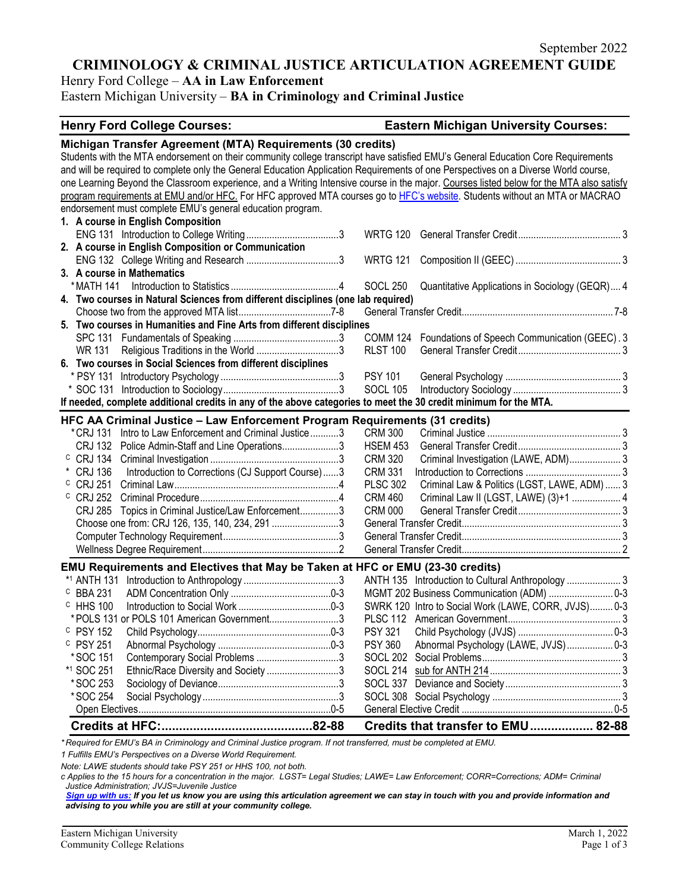September 2022

# **CRIMINOLOGY & CRIMINAL JUSTICE ARTICULATION AGREEMENT GUIDE**

Henry Ford College – **AA in Law Enforcement**

Eastern Michigan University – **BA in Criminology and Criminal Justice**

#### **Henry Ford College Courses: Eastern Michigan University Courses:**

| Michigan Transfer Agreement (MTA) Requirements (30 credits)                                                                              |                                                                    |  |  |
|------------------------------------------------------------------------------------------------------------------------------------------|--------------------------------------------------------------------|--|--|
| Students with the MTA endorsement on their community college transcript have satisfied EMU's General Education Core Requirements         |                                                                    |  |  |
| and will be required to complete only the General Education Application Requirements of one Perspectives on a Diverse World course,      |                                                                    |  |  |
| one Learning Beyond the Classroom experience, and a Writing Intensive course in the major. Courses listed below for the MTA also satisfy |                                                                    |  |  |
| program requirements at EMU and/or HFC. For HFC approved MTA courses go to HFC's website. Students without an MTA or MACRAO              |                                                                    |  |  |
| endorsement must complete EMU's general education program.                                                                               |                                                                    |  |  |
| 1. A course in English Composition                                                                                                       |                                                                    |  |  |
|                                                                                                                                          | <b>WRTG 120</b>                                                    |  |  |
| 2. A course in English Composition or Communication                                                                                      |                                                                    |  |  |
|                                                                                                                                          | <b>WRTG 121</b>                                                    |  |  |
| 3. A course in Mathematics                                                                                                               |                                                                    |  |  |
| * MATH 141                                                                                                                               | <b>SOCL 250</b><br>Quantitative Applications in Sociology (GEQR) 4 |  |  |
| 4. Two courses in Natural Sciences from different disciplines (one lab required)                                                         |                                                                    |  |  |
|                                                                                                                                          |                                                                    |  |  |
| 5. Two courses in Humanities and Fine Arts from different disciplines                                                                    |                                                                    |  |  |
|                                                                                                                                          | COMM 124 Foundations of Speech Communication (GEEC). 3             |  |  |
| WR 131 Religious Traditions in the World 3                                                                                               | <b>RLST 100</b>                                                    |  |  |
| 6. Two courses in Social Sciences from different disciplines                                                                             |                                                                    |  |  |
|                                                                                                                                          | <b>PSY 101</b>                                                     |  |  |
|                                                                                                                                          | <b>SOCL 105</b>                                                    |  |  |
| If needed, complete additional credits in any of the above categories to meet the 30 credit minimum for the MTA.                         |                                                                    |  |  |
| HFC AA Criminal Justice - Law Enforcement Program Requirements (31 credits)                                                              |                                                                    |  |  |
| * CRJ 131<br>Intro to Law Enforcement and Criminal Justice3                                                                              | <b>CRM 300</b>                                                     |  |  |
| <b>CRJ 132</b>                                                                                                                           | <b>HSEM 453</b>                                                    |  |  |
| Police Admin-Staff and Line Operations3<br>$\circ$ CRJ 134                                                                               | <b>CRM 320</b>                                                     |  |  |
|                                                                                                                                          | Criminal Investigation (LAWE, ADM) 3                               |  |  |
| * CRJ 136<br>Introduction to Corrections (CJ Support Course)3<br>$C$ CRJ 251                                                             | <b>CRM 331</b><br><b>PLSC 302</b>                                  |  |  |
|                                                                                                                                          | Criminal Law & Politics (LGST, LAWE, ADM)  3                       |  |  |
| $C$ CRJ 252                                                                                                                              | Criminal Law II (LGST, LAWE) (3)+1  4<br><b>CRM 460</b>            |  |  |
| Topics in Criminal Justice/Law Enforcement3<br><b>CRJ 285</b>                                                                            | <b>CRM 000</b>                                                     |  |  |
| Choose one from: CRJ 126, 135, 140, 234, 2913                                                                                            |                                                                    |  |  |
|                                                                                                                                          |                                                                    |  |  |
|                                                                                                                                          |                                                                    |  |  |
| EMU Requirements and Electives that May be Taken at HFC or EMU (23-30 credits)                                                           |                                                                    |  |  |
|                                                                                                                                          |                                                                    |  |  |
| C BBA 231                                                                                                                                |                                                                    |  |  |
| <sup>C</sup> HHS 100                                                                                                                     | SWRK 120 Intro to Social Work (LAWE, CORR, JVJS) 0-3               |  |  |
| *POLS 131 or POLS 101 American Government3                                                                                               |                                                                    |  |  |
| <sup>C</sup> PSY 152                                                                                                                     | <b>PSY 321</b>                                                     |  |  |
| $C$ PSY 251                                                                                                                              | Abnormal Psychology (LAWE, JVJS) 0-3<br><b>PSY 360</b>             |  |  |
| *SOC 151<br>Contemporary Social Problems 3                                                                                               | SOCL 202                                                           |  |  |
| *1 SOC 251<br>Ethnic/Race Diversity and Society 3                                                                                        |                                                                    |  |  |
| *SOC 253                                                                                                                                 |                                                                    |  |  |
| *SOC 254                                                                                                                                 |                                                                    |  |  |
|                                                                                                                                          |                                                                    |  |  |
|                                                                                                                                          | Credits that transfer to EMU 82-88                                 |  |  |
|                                                                                                                                          |                                                                    |  |  |

*\* Required for EMU's BA in Criminology and Criminal Justice program. If not transferred, must be completed at EMU.* 

*1 Fulfills EMU's Perspectives on a Diverse World Requirement.*

*Note: LAWE students should take PSY 251 or HHS 100, not both.* 

*c Applies to the 15 hours for a concentration in the major. LGST= Legal Studies; LAWE= Law Enforcement; CORR=Corrections; ADM= Criminal Justice Administration; JVJS=Juvenile Justice*

*[Sign up with us:](https://www.emich.edu/ccr/articulation-agreements/signup.php) If you let us know you are using this articulation agreement we can stay in touch with you and provide information and advising to you while you are still at your community college.*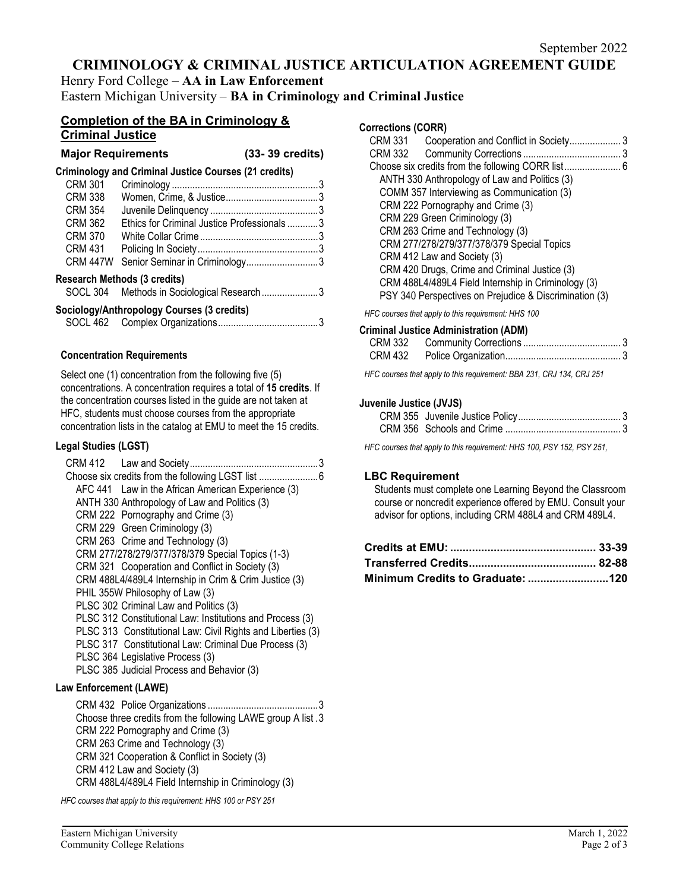# **CRIMINOLOGY & CRIMINAL JUSTICE ARTICULATION AGREEMENT GUIDE**

Henry Ford College – **AA in Law Enforcement** Eastern Michigan University – **BA in Criminology and Criminal Justice**

### **Completion of the BA in Criminology & Criminal Justice**

| <b>Major Requirements</b> | (33-39 credits) |
|---------------------------|-----------------|
|                           |                 |

#### **Criminology and Criminal Justice Courses (21 credits)**

| <b>CRM 301</b>                      |                                            |  |
|-------------------------------------|--------------------------------------------|--|
| <b>CRM 338</b>                      |                                            |  |
| <b>CRM 354</b>                      |                                            |  |
| <b>CRM 362</b>                      | Ethics for Criminal Justice Professionals3 |  |
| <b>CRM 370</b>                      |                                            |  |
| <b>CRM 431</b>                      |                                            |  |
| <b>CRM 447W</b>                     | Senior Seminar in Criminology3             |  |
| <b>Research Methods (3 credits)</b> |                                            |  |
|                                     | SOCL 304 Methods in Sociological Research3 |  |

#### **Sociology/Anthropology Courses (3 credits)**

### **Concentration Requirements**

Select one (1) concentration from the following five (5) concentrations. A concentration requires a total of **15 credits**. If the concentration courses listed in the guide are not taken at HFC, students must choose courses from the appropriate concentration lists in the catalog at EMU to meet the 15 credits.

#### **Legal Studies (LGST)**

| AFC 441 Law in the African American Experience (3)          |  |
|-------------------------------------------------------------|--|
| ANTH 330 Anthropology of Law and Politics (3)               |  |
| CRM 222 Pornography and Crime (3)                           |  |
| CRM 229 Green Criminology (3)                               |  |
| CRM 263 Crime and Technology (3)                            |  |
| CRM 277/278/279/377/378/379 Special Topics (1-3)            |  |
| CRM 321 Cooperation and Conflict in Society (3)             |  |
| CRM 488L4/489L4 Internship in Crim & Crim Justice (3)       |  |
| PHIL 355W Philosophy of Law (3)                             |  |
| PLSC 302 Criminal Law and Politics (3)                      |  |
| PLSC 312 Constitutional Law: Institutions and Process (3)   |  |
| PLSC 313 Constitutional Law: Civil Rights and Liberties (3) |  |
| PLSC 317 Constitutional Law: Criminal Due Process (3)       |  |
| PLSC 364 Legislative Process (3)                            |  |
| PLSC 385 Judicial Process and Behavior (3)                  |  |

#### **Law Enforcement (LAWE)**

 CRM 432 Police Organizations ........................................... 3 Choose three credits from the following LAWE group A list . 3 CRM 222 Pornography and Crime (3) CRM 263 Crime and Technology (3) CRM 321 Cooperation & Conflict in Society (3) CRM 412 Law and Society (3) CRM 488L4/489L4 Field Internship in Criminology (3)

*HFC courses that apply to this requirement: HHS 100 or PSY 251*

#### **Corrections (CORR)**

| CRM 331 |                                                        |  |
|---------|--------------------------------------------------------|--|
|         |                                                        |  |
|         |                                                        |  |
|         | ANTH 330 Anthropology of Law and Politics (3)          |  |
|         | COMM 357 Interviewing as Communication (3)             |  |
|         | CRM 222 Pornography and Crime (3)                      |  |
|         | CRM 229 Green Criminology (3)                          |  |
|         | CRM 263 Crime and Technology (3)                       |  |
|         | CRM 277/278/279/377/378/379 Special Topics             |  |
|         | CRM 412 Law and Society (3)                            |  |
|         | CRM 420 Drugs, Crime and Criminal Justice (3)          |  |
|         | CRM 488L4/489L4 Field Internship in Criminology (3)    |  |
|         | PSY 340 Perspectives on Prejudice & Discrimination (3) |  |
|         |                                                        |  |

*HFC courses that apply to this requirement: HHS 100*

#### **Criminal Justice Administration (ADM)**

*HFC courses that apply to this requirement: BBA 231, CRJ 134, CRJ 251* 

#### **Juvenile Justice (JVJS)**

*HFC courses that apply to this requirement: HHS 100, PSY 152, PSY 251,* 

#### **LBC Requirement**

Students must complete one Learning Beyond the Classroom course or noncredit experience offered by EMU. Consult your advisor for options, including CRM 488L4 and CRM 489L4.